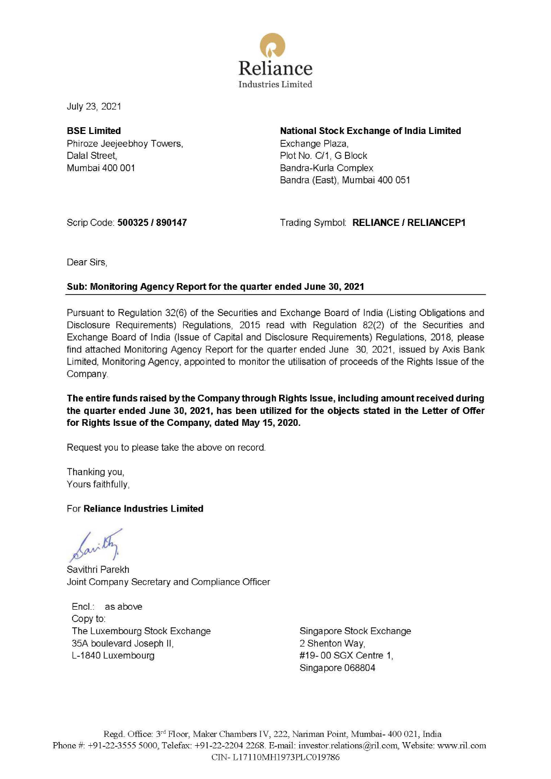

July 23, 2021

**BSE Limited**  Phiroze Jeejeebhoy Towers, Dalal Street, Mumbai 400 001

**National Stock Exchange of India Limited**  Exchange Plaza, Plot No. C/1, G Block Bandra-Kurla Complex Bandra (East), Mumbai 400 051

Scrip Code: **500325 / 890147** 

Trading Symbol: **RELIANCE/ RELIANCEP1** 

Dear Sirs,

# **Sub: Monitoring Agency Report for the quarter ended June 30, 2021**

Pursuant to Regulation 32(6) of the Securities and Exchange Board of India (Listing Obligations and Disclosure Requirements) Regulations, 2015 read with Regulation 82(2) of the Securities and Exchange Board of India (Issue of Capital and Disclosure Requirements) Regulations, 2018, please find attached Monitoring Agency Report for the quarter ended June 30, 2021, issued by Axis Bank Limited, Monitoring Agency, appointed to monitor the utilisation of proceeds of the Rights Issue of the Company.

**The entire funds raised by the Company through Rights Issue, including amount received during the quarter ended June 30, 2021, has been utilized for the objects stated in the Letter of Offer for Rights Issue of the Company, dated May 15, 2020.** 

Request you to please take the above on record.

Thanking you, Yours faithfully,

## For **Reliance Industries Limited**

Savithri Parekh Joint Company Secretary and Compliance Officer

Encl.: as above Copy to: The Luxembourg Stock Exchange 35A boulevard Joseph II, L-1840 Luxembourg

Singapore Stock Exchange 2 Shenton Way, #19- 00 SGX Centre 1, Singapore 068804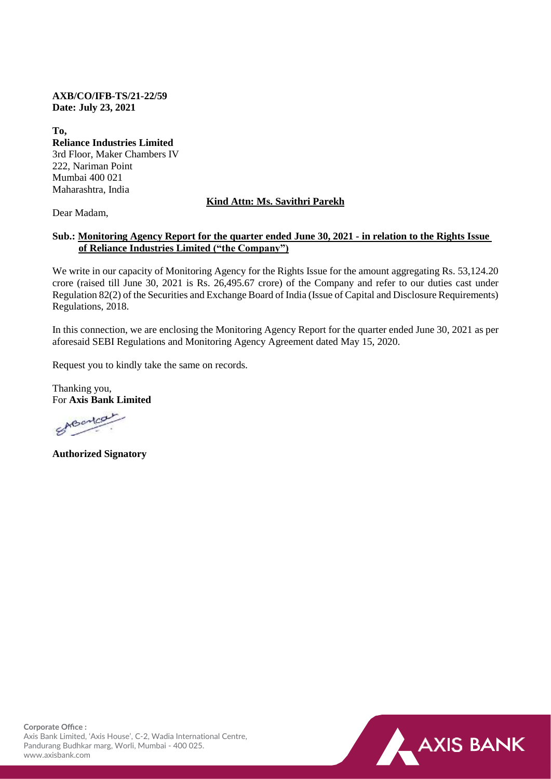**AXB/CO/IFB-TS/21-22/59 Date: July 23, 2021**

**To, Reliance Industries Limited** 3rd Floor, Maker Chambers IV 222, Nariman Point Mumbai 400 021 Maharashtra, India

## **Kind Attn: Ms. Savithri Parekh**

Dear Madam,

## **Sub.: Monitoring Agency Report for the quarter ended June 30, 2021 - in relation to the Rights Issue of Reliance Industries Limited ("the Company")**

We write in our capacity of Monitoring Agency for the Rights Issue for the amount aggregating Rs. 53,124.20 crore (raised till June 30, 2021 is Rs. 26,495.67 crore) of the Company and refer to our duties cast under Regulation 82(2) of the Securities and Exchange Board of India (Issue of Capital and Disclosure Requirements) Regulations, 2018.

In this connection, we are enclosing the Monitoring Agency Report for the quarter ended June 30, 2021 as per aforesaid SEBI Regulations and Monitoring Agency Agreement dated May 15, 2020.

Request you to kindly take the same on records.

Thanking you, For **Axis Bank Limited**

ABorton

**Authorized Signatory**



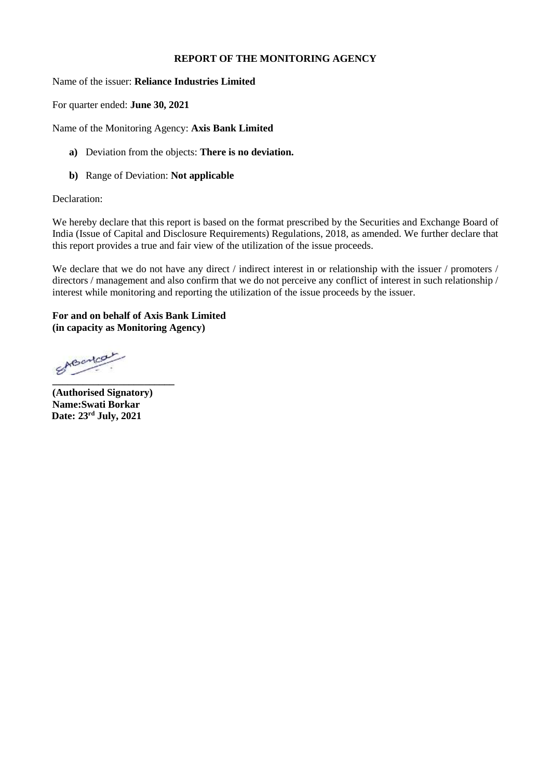### **REPORT OF THE MONITORING AGENCY**

Name of the issuer: **Reliance Industries Limited**

For quarter ended: **June 30, 2021**

Name of the Monitoring Agency: **Axis Bank Limited**

- **a)** Deviation from the objects: **There is no deviation.**
- **b)** Range of Deviation: **Not applicable**

### Declaration:

We hereby declare that this report is based on the format prescribed by the Securities and Exchange Board of India (Issue of Capital and Disclosure Requirements) Regulations, 2018, as amended. We further declare that this report provides a true and fair view of the utilization of the issue proceeds.

We declare that we do not have any direct / indirect interest in or relationship with the issuer / promoters / directors / management and also confirm that we do not perceive any conflict of interest in such relationship / interest while monitoring and reporting the utilization of the issue proceeds by the issuer.

### **For and on behalf of Axis Bank Limited (in capacity as Monitoring Agency)**

SABancar **\_\_\_\_\_\_\_\_\_\_\_\_\_\_\_\_\_\_\_\_\_\_\_\_**

**(Authorised Signatory) Name:Swati Borkar Date: 23rd July, 2021**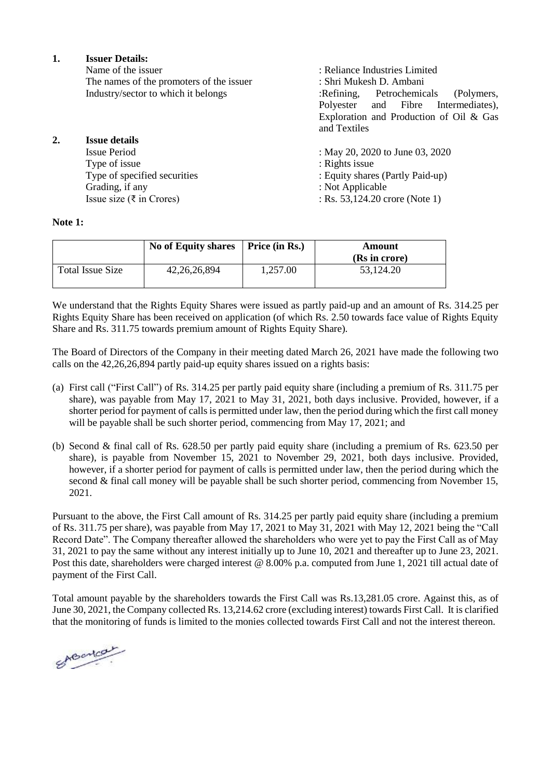**1. Issuer Details:** Name of the issuer : Reliance Industries Limited<br>The names of the promoters of the issuer : Shri Mukesh D. Ambani The names of the promoters of the issuer Industry/sector to which it belongs :Refining, Petrochemicals (Polymers, Polyester and Fibre Intermediates), Exploration and Production of Oil & Gas and Textiles **2. Issue details** If May 20, 2020 to June 03, 2020 Type of issue<br>Type of specified securities : Rights issue<br>: Equity share<br>: Type of specified securities : Equity shares (Partly Paid-up)<br>Grading, if any : Not Applicable Grading, if any : Not Applicable<br>
Issue size ( $\overline{\tau}$  in Crores) : Rs. 53.124.20 cm  $:$  Rs. 53,124.20 crore (Note 1)

#### **Note 1:**

|                  | No of Equity shares | Price (in Rs.) | Amount<br>(Rs in crore) |
|------------------|---------------------|----------------|-------------------------|
| Total Issue Size | 42, 26, 26, 894     | 1.257.00       | 53.124.20               |

We understand that the Rights Equity Shares were issued as partly paid-up and an amount of Rs. 314.25 per Rights Equity Share has been received on application (of which Rs. 2.50 towards face value of Rights Equity Share and Rs. 311.75 towards premium amount of Rights Equity Share).

The Board of Directors of the Company in their meeting dated March 26, 2021 have made the following two calls on the 42,26,26,894 partly paid-up equity shares issued on a rights basis:

- (a) First call ("First Call") of Rs. 314.25 per partly paid equity share (including a premium of Rs. 311.75 per share), was payable from May 17, 2021 to May 31, 2021, both days inclusive. Provided, however, if a shorter period for payment of calls is permitted under law, then the period during which the first call money will be payable shall be such shorter period, commencing from May 17, 2021; and
- (b) Second & final call of Rs. 628.50 per partly paid equity share (including a premium of Rs. 623.50 per share), is payable from November 15, 2021 to November 29, 2021, both days inclusive. Provided, however, if a shorter period for payment of calls is permitted under law, then the period during which the second & final call money will be payable shall be such shorter period, commencing from November 15, 2021.

Pursuant to the above, the First Call amount of Rs. 314.25 per partly paid equity share (including a premium of Rs. 311.75 per share), was payable from May 17, 2021 to May 31, 2021 with May 12, 2021 being the "Call Record Date". The Company thereafter allowed the shareholders who were yet to pay the First Call as of May 31, 2021 to pay the same without any interest initially up to June 10, 2021 and thereafter up to June 23, 2021. Post this date, shareholders were charged interest @ 8.00% p.a. computed from June 1, 2021 till actual date of payment of the First Call.

Total amount payable by the shareholders towards the First Call was Rs.13,281.05 crore. Against this, as of June 30, 2021, the Company collected Rs. 13,214.62 crore (excluding interest) towards First Call. It is clarified that the monitoring of funds is limited to the monies collected towards First Call and not the interest thereon.

SABONCON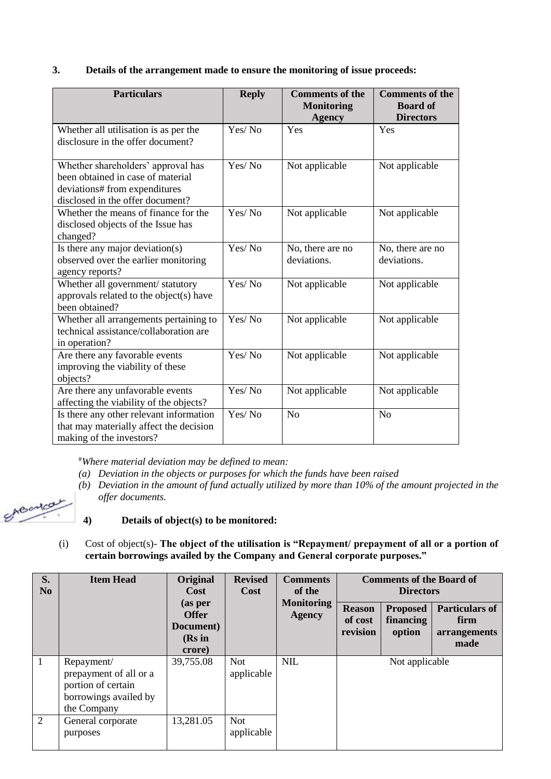# **3. Details of the arrangement made to ensure the monitoring of issue proceeds:**

| <b>Particulars</b>                                                                                                                           | <b>Reply</b> | <b>Comments of the</b><br><b>Monitoring</b><br><b>Agency</b> | <b>Comments of the</b><br><b>Board of</b><br><b>Directors</b> |
|----------------------------------------------------------------------------------------------------------------------------------------------|--------------|--------------------------------------------------------------|---------------------------------------------------------------|
| Whether all utilisation is as per the<br>disclosure in the offer document?                                                                   | Yes/No       | Yes                                                          | Yes                                                           |
| Whether shareholders' approval has<br>been obtained in case of material<br>deviations# from expenditures<br>disclosed in the offer document? | Yes/No       | Not applicable                                               | Not applicable                                                |
| Whether the means of finance for the<br>disclosed objects of the Issue has<br>changed?                                                       | Yes/No       | Not applicable                                               | Not applicable                                                |
| Is there any major deviation(s)<br>observed over the earlier monitoring<br>agency reports?                                                   | Yes/No       | No, there are no<br>deviations.                              | No, there are no<br>deviations.                               |
| Whether all government/ statutory<br>approvals related to the object(s) have<br>been obtained?                                               | Yes/No       | Not applicable                                               | Not applicable                                                |
| Whether all arrangements pertaining to<br>technical assistance/collaboration are<br>in operation?                                            | Yes/No       | Not applicable                                               | Not applicable                                                |
| Are there any favorable events<br>improving the viability of these<br>objects?                                                               | Yes/No       | Not applicable                                               | Not applicable                                                |
| Are there any unfavorable events<br>affecting the viability of the objects?                                                                  | Yes/No       | Not applicable                                               | Not applicable                                                |
| Is there any other relevant information<br>that may materially affect the decision<br>making of the investors?                               | Yes/No       | N <sub>o</sub>                                               | N <sub>o</sub>                                                |

#*Where material deviation may be defined to mean:*

- *(a) Deviation in the objects or purposes for which the funds have been raised*
- *(b) Deviation in the amount of fund actually utilized by more than 10% of the amount projected in the offer documents.*

SABonca

## **4) Details of object(s) to be monitored:**

(i) Cost of object(s)- **The object of the utilisation is "Repayment/ prepayment of all or a portion of certain borrowings availed by the Company and General corporate purposes."**

| S.<br>N <sub>0</sub> | <b>Item Head</b>                                                                                   | Original<br><b>Cost</b><br>(as per            | <b>Revised</b><br>Cost   | <b>Comments</b><br>of the<br><b>Monitoring</b> | <b>Comments of the Board of</b><br><b>Directors</b><br><b>Reason</b><br><b>Proposed</b> |                     | <b>Particulars of</b>        |
|----------------------|----------------------------------------------------------------------------------------------------|-----------------------------------------------|--------------------------|------------------------------------------------|-----------------------------------------------------------------------------------------|---------------------|------------------------------|
|                      |                                                                                                    | <b>Offer</b><br>Document)<br>(Rs in<br>crore) |                          | <b>Agency</b>                                  | of cost<br>revision                                                                     | financing<br>option | firm<br>arrangements<br>made |
| 1                    | Repayment/<br>prepayment of all or a<br>portion of certain<br>borrowings availed by<br>the Company | 39,755.08                                     | <b>Not</b><br>applicable | <b>NIL</b>                                     |                                                                                         | Not applicable      |                              |
| 2                    | General corporate<br>purposes                                                                      | 13,281.05                                     | <b>Not</b><br>applicable |                                                |                                                                                         |                     |                              |